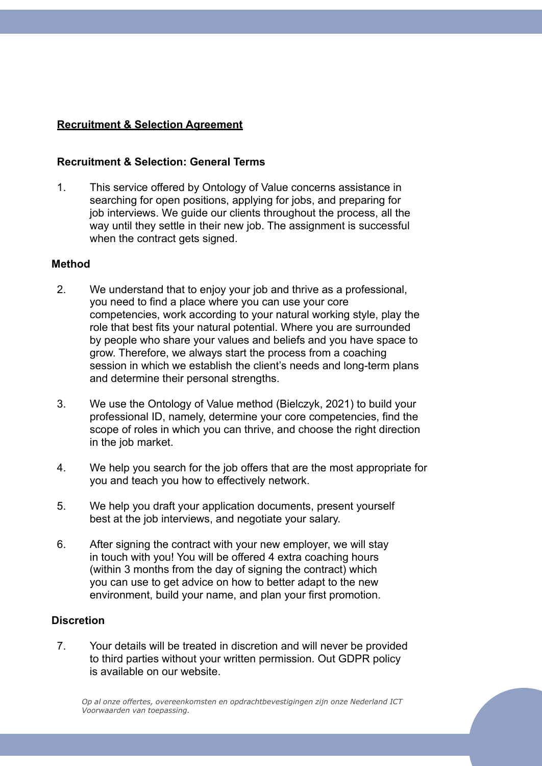# **Recruitment & Selection Agreement**

## **Recruitment & Selection: General Terms**

1. This service offered by Ontology of Value concerns assistance in searching for open positions, applying for jobs, and preparing for job interviews. We guide our clients throughout the process, all the way until they settle in their new job. The assignment is successful when the contract gets signed.

### **Method**

- 2. We understand that to enjoy your job and thrive as a professional, you need to find a place where you can use your core competencies, work according to your natural working style, play the role that best fits your natural potential. Where you are surrounded by people who share your values and beliefs and you have space to grow. Therefore, we always start the process from a coaching session in which we establish the client's needs and long-term plans and determine their personal strengths.
- 3. We use the Ontology of Value method (Bielczyk, 2021) to build your professional ID, namely, determine your core competencies, find the scope of roles in which you can thrive, and choose the right direction in the job market.
- 4. We help you search for the job offers that are the most appropriate for you and teach you how to effectively network.
- 5. We help you draft your application documents, present yourself best at the job interviews, and negotiate your salary.
- 6. After signing the contract with your new employer, we will stay in touch with you! You will be offered 4 extra coaching hours (within 3 months from the day of signing the contract) which you can use to get advice on how to better adapt to the new environment, build your name, and plan your first promotion.

# **Discretion**

7. Your details will be treated in discretion and will never be provided to third parties without your written permission. Out GDPR policy is available on our website.

*Op al onze offertes, overeenkomsten en opdrachtbevestigingen zijn onze Nederland ICT Voorwaarden van toepassing.*